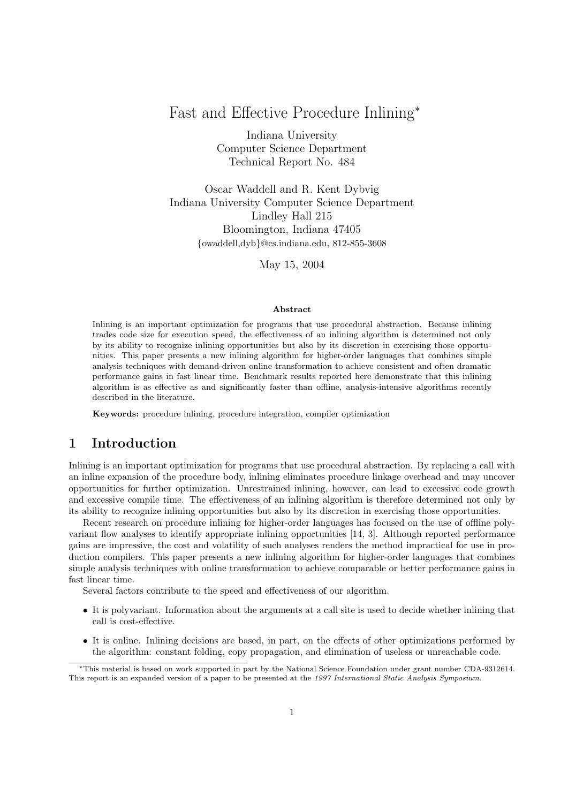# Fast and Effective Procedure Inlining<sup>∗</sup>

Indiana University Computer Science Department Technical Report No. 484

Oscar Waddell and R. Kent Dybvig Indiana University Computer Science Department Lindley Hall 215 Bloomington, Indiana 47405 {owaddell,dyb}@cs.indiana.edu, 812-855-3608

May 15, 2004

#### Abstract

Inlining is an important optimization for programs that use procedural abstraction. Because inlining trades code size for execution speed, the effectiveness of an inlining algorithm is determined not only by its ability to recognize inlining opportunities but also by its discretion in exercising those opportunities. This paper presents a new inlining algorithm for higher-order languages that combines simple analysis techniques with demand-driven online transformation to achieve consistent and often dramatic performance gains in fast linear time. Benchmark results reported here demonstrate that this inlining algorithm is as effective as and significantly faster than offline, analysis-intensive algorithms recently described in the literature.

Keywords: procedure inlining, procedure integration, compiler optimization

# 1 Introduction

Inlining is an important optimization for programs that use procedural abstraction. By replacing a call with an inline expansion of the procedure body, inlining eliminates procedure linkage overhead and may uncover opportunities for further optimization. Unrestrained inlining, however, can lead to excessive code growth and excessive compile time. The effectiveness of an inlining algorithm is therefore determined not only by its ability to recognize inlining opportunities but also by its discretion in exercising those opportunities.

Recent research on procedure inlining for higher-order languages has focused on the use of offline polyvariant flow analyses to identify appropriate inlining opportunities [14, 3]. Although reported performance gains are impressive, the cost and volatility of such analyses renders the method impractical for use in production compilers. This paper presents a new inlining algorithm for higher-order languages that combines simple analysis techniques with online transformation to achieve comparable or better performance gains in fast linear time.

Several factors contribute to the speed and effectiveness of our algorithm.

- It is polyvariant. Information about the arguments at a call site is used to decide whether inlining that call is cost-effective.
- It is online. Inlining decisions are based, in part, on the effects of other optimizations performed by the algorithm: constant folding, copy propagation, and elimination of useless or unreachable code.

<sup>∗</sup>This material is based on work supported in part by the National Science Foundation under grant number CDA-9312614. This report is an expanded version of a paper to be presented at the 1997 International Static Analysis Symposium.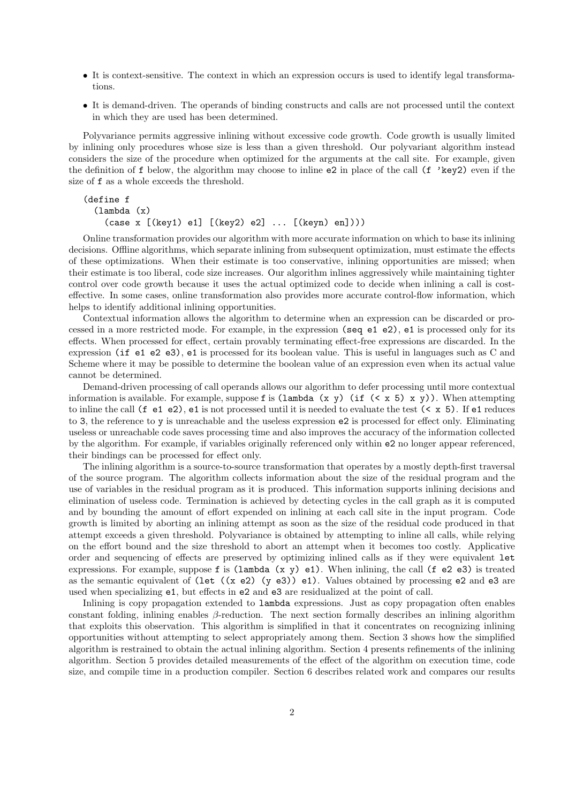- It is context-sensitive. The context in which an expression occurs is used to identify legal transformations.
- It is demand-driven. The operands of binding constructs and calls are not processed until the context in which they are used has been determined.

Polyvariance permits aggressive inlining without excessive code growth. Code growth is usually limited by inlining only procedures whose size is less than a given threshold. Our polyvariant algorithm instead considers the size of the procedure when optimized for the arguments at the call site. For example, given the definition of f below, the algorithm may choose to inline e2 in place of the call (f 'key2) even if the size of f as a whole exceeds the threshold.

```
(define f
    (lambda (x)
        (\text{case } x \, [\text{(key1)} \, \text{e1}] \, [\text{(key2)} \, \text{e2}] \, \ldots \, [\text{(keyn)} \, \text{e1}]))
```
Online transformation provides our algorithm with more accurate information on which to base its inlining decisions. Offline algorithms, which separate inlining from subsequent optimization, must estimate the effects of these optimizations. When their estimate is too conservative, inlining opportunities are missed; when their estimate is too liberal, code size increases. Our algorithm inlines aggressively while maintaining tighter control over code growth because it uses the actual optimized code to decide when inlining a call is costeffective. In some cases, online transformation also provides more accurate control-flow information, which helps to identify additional inlining opportunities.

Contextual information allows the algorithm to determine when an expression can be discarded or processed in a more restricted mode. For example, in the expression (seq e1 e2), e1 is processed only for its effects. When processed for effect, certain provably terminating effect-free expressions are discarded. In the expression (if e1 e2 e3), e1 is processed for its boolean value. This is useful in languages such as C and Scheme where it may be possible to determine the boolean value of an expression even when its actual value cannot be determined.

Demand-driven processing of call operands allows our algorithm to defer processing until more contextual information is available. For example, suppose f is  $(\lambda x, y)$  (if  $(\langle x, \lambda y \rangle)$ , When attempting to inline the call  $(f \in 1 \in 2)$ ,  $e1$  is not processed until it is needed to evaluate the test  $(< x 5)$ . If  $e1$  reduces to 3, the reference to y is unreachable and the useless expression e2 is processed for effect only. Eliminating useless or unreachable code saves processing time and also improves the accuracy of the information collected by the algorithm. For example, if variables originally referenced only within e2 no longer appear referenced, their bindings can be processed for effect only.

The inlining algorithm is a source-to-source transformation that operates by a mostly depth-first traversal of the source program. The algorithm collects information about the size of the residual program and the use of variables in the residual program as it is produced. This information supports inlining decisions and elimination of useless code. Termination is achieved by detecting cycles in the call graph as it is computed and by bounding the amount of effort expended on inlining at each call site in the input program. Code growth is limited by aborting an inlining attempt as soon as the size of the residual code produced in that attempt exceeds a given threshold. Polyvariance is obtained by attempting to inline all calls, while relying on the effort bound and the size threshold to abort an attempt when it becomes too costly. Applicative order and sequencing of effects are preserved by optimizing inlined calls as if they were equivalent let expressions. For example, suppose f is  $(\text{lambda}(x, y) \in 1)$ . When inlining, the call  $(f \in 2 \in 3)$  is treated as the semantic equivalent of (let  $((x e2) (y e3)) e1)$ . Values obtained by processing e2 and e3 are used when specializing e1, but effects in e2 and e3 are residualized at the point of call.

Inlining is copy propagation extended to lambda expressions. Just as copy propagation often enables constant folding, inlining enables β-reduction. The next section formally describes an inlining algorithm that exploits this observation. This algorithm is simplified in that it concentrates on recognizing inlining opportunities without attempting to select appropriately among them. Section 3 shows how the simplified algorithm is restrained to obtain the actual inlining algorithm. Section 4 presents refinements of the inlining algorithm. Section 5 provides detailed measurements of the effect of the algorithm on execution time, code size, and compile time in a production compiler. Section 6 describes related work and compares our results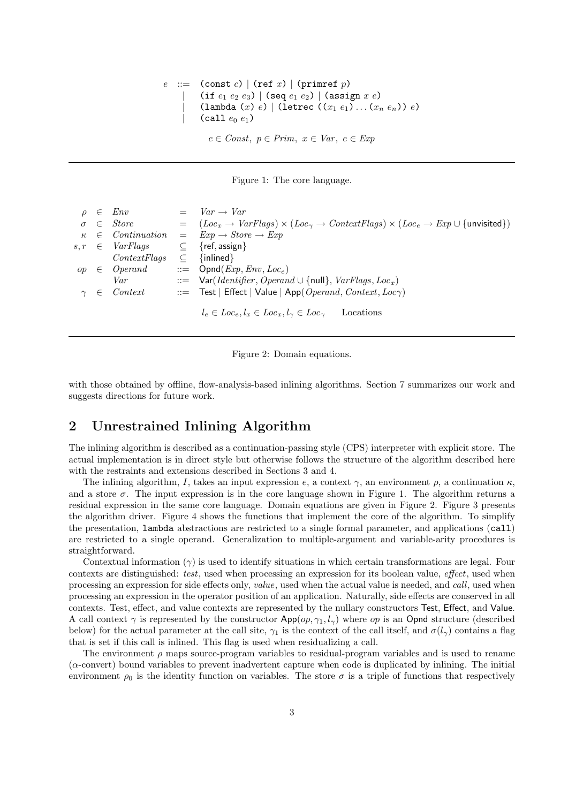$\therefore$  (const c) | (ref x) | (primref p)  $(\text{if } e_1 e_2 e_3) | (\text{seq } e_1 e_2) | (\text{assign } x e)$  $(\texttt{lambda}(x) e) | (\texttt{letrec} ((x_1 e_1) ... (x_n e_n)) e)$  $(call e_0 e_1)$  $c \in Const, p \in Prim, x \in Var, e \in Exp$ 



| $\in$        | Env                  |             | $= Var \rightarrow Var$                                                                                                      |
|--------------|----------------------|-------------|------------------------------------------------------------------------------------------------------------------------------|
| $\sigma \in$ | <i>Store</i>         |             | $= (Locx \rightarrow VarFlags) \times (Loc2 \rightarrow ContextFlags) \times (Loce \rightarrow Exp \cup \{unvisited\})$      |
|              |                      |             | $\kappa \in Continuation = Exp \rightarrow Store \rightarrow Exp$                                                            |
|              | $s, r \in VarFlags$  |             | $\subseteq$ {ref, assign}                                                                                                    |
|              | ContextFlags         | $\subseteq$ | $\{inlinear\}$                                                                                                               |
|              | $op \in Operand$     |             | $ ::=$ Opnd( <i>Exp</i> , <i>Env</i> , <i>Loc</i> <sub>e</sub> )                                                             |
|              | Var                  |             | $\therefore$ $\therefore$ Var( <i>Identifier</i> , <i>Operand</i> $\cup$ {null}, <i>VarFlags</i> , <i>Loc</i> <sub>x</sub> ) |
|              | $\gamma \in$ Context |             | $\therefore$ Test   Effect   Value   App( Operand, Context, Loc $\gamma$ )                                                   |
|              |                      |             |                                                                                                                              |
|              |                      |             | $l_e \in Loc_e, l_x \in Loc_x, l_y \in Loc_{\gamma}$<br>Locations                                                            |

Figure 2: Domain equations.

with those obtained by offline, flow-analysis-based inlining algorithms. Section 7 summarizes our work and suggests directions for future work.

# 2 Unrestrained Inlining Algorithm

The inlining algorithm is described as a continuation-passing style (CPS) interpreter with explicit store. The actual implementation is in direct style but otherwise follows the structure of the algorithm described here with the restraints and extensions described in Sections 3 and 4.

The inlining algorithm, I, takes an input expression e, a context  $\gamma$ , an environment  $\rho$ , a continuation  $\kappa$ , and a store  $\sigma$ . The input expression is in the core language shown in Figure 1. The algorithm returns a residual expression in the same core language. Domain equations are given in Figure 2. Figure 3 presents the algorithm driver. Figure 4 shows the functions that implement the core of the algorithm. To simplify the presentation, lambda abstractions are restricted to a single formal parameter, and applications (call) are restricted to a single operand. Generalization to multiple-argument and variable-arity procedures is straightforward.

Contextual information  $(\gamma)$  is used to identify situations in which certain transformations are legal. Four contexts are distinguished: test, used when processing an expression for its boolean value, effect, used when processing an expression for side effects only, value, used when the actual value is needed, and call, used when processing an expression in the operator position of an application. Naturally, side effects are conserved in all contexts. Test, effect, and value contexts are represented by the nullary constructors Test, Effect, and Value. A call context  $\gamma$  is represented by the constructor App( $op, \gamma_1, l_\gamma$ ) where  $op$  is an Opnd structure (described below) for the actual parameter at the call site,  $\gamma_1$  is the context of the call itself, and  $\sigma(l_\gamma)$  contains a flag that is set if this call is inlined. This flag is used when residualizing a call.

The environment  $\rho$  maps source-program variables to residual-program variables and is used to rename (α-convert) bound variables to prevent inadvertent capture when code is duplicated by inlining. The initial environment  $\rho_0$  is the identity function on variables. The store  $\sigma$  is a triple of functions that respectively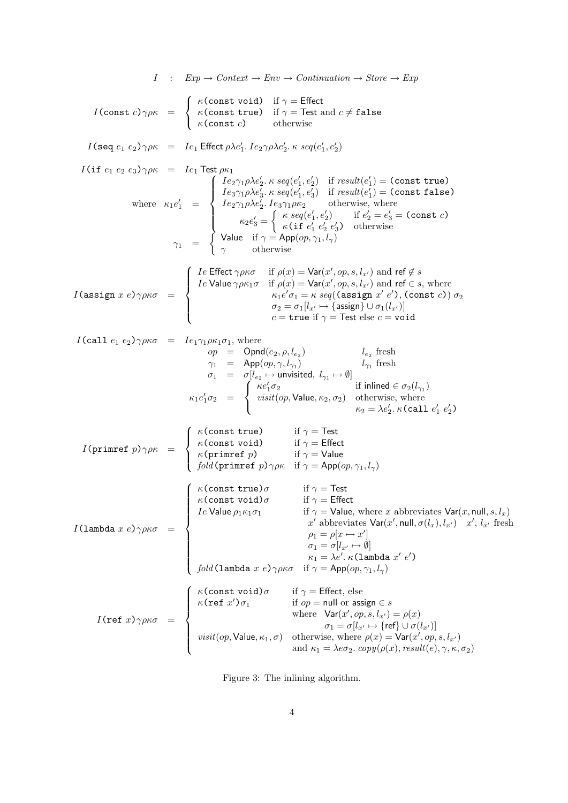$$
I : Exp \rightarrow Content \rightarrow Env - Continuation \rightarrow Store \rightarrow Exp
$$
\n
$$
I(\text{const } c) \gamma \rho \kappa = \begin{cases}\n\kappa(\text{const } \text{true}) & \text{if } \gamma = \text{Eftect} \\
\kappa(\text{const } c) & \text{otherwise}\n\end{cases}
$$
\n
$$
I(\text{set } e_1 e_2) \gamma \rho \kappa = Ie_1 \text{Effect } \rho \lambda e_1', Ie_2 \gamma \rho \lambda e_2', \kappa \, seq(e_1', e_2')
$$
\n
$$
I(\text{if } e_1 e_2 e_3) \gamma \rho \kappa = Ie_1 \text{Effect } \rho \lambda e_1', Ie_2 \gamma \rho \lambda e_2', \kappa \, seq(e_1', e_2')
$$
\n
$$
I(\text{if } e_1 e_2 e_3) \gamma \rho \kappa = Ie_1 \text{Effect } \rho \lambda e_1', Ie_2 \gamma \rho \lambda e_2', \kappa \, seq(e_1', e_2')
$$
\n
$$
I(\text{if } e_1 e_2 e_3) \gamma \rho \kappa = Ie_1 \text{Effect } \rho \lambda e_1', Ie_2 \gamma \rho \lambda e_2', \kappa \, seq(e_1', e_2')
$$
\n
$$
\gamma \kappa = q(e_1', e_2') & \text{if } e_2' = e_3' = \text{const } \text{false}
$$
\n
$$
\gamma \kappa = q(e_1', e_2') & \text{otherwise}, \text{ where}
$$
\n
$$
\kappa_1 e_1' = \begin{cases}\nIe \text{Fflet } \gamma \rho \kappa e_1' & \text{otherwise} \\
\kappa_2 e_3' = \begin{cases}\n\kappa \, seq(e_1', e_2') & \text{if } e_2' = e_3' = \text{const } c \\
\kappa \, seq(e_1', e_2') & \text{otherwise}\n\end{cases} \\
\text{71 } = \begin{cases}\nIe \text{Fflet } \gamma \rho \kappa e_1' & \text{if } \rho \rho \lambda, Ie_2 \text{ is odd}, Ie_2 \text{ is odd}, Ie_2 \text{ is odd}, Ie_2 \text{ is odd}, Ie_2 \text{ is odd}, Ie_2 \text{ is odd}, Ie_2 \text{ is odd}, Ie_2 \text{ is odd},
$$

Figure 3: The inlining algorithm.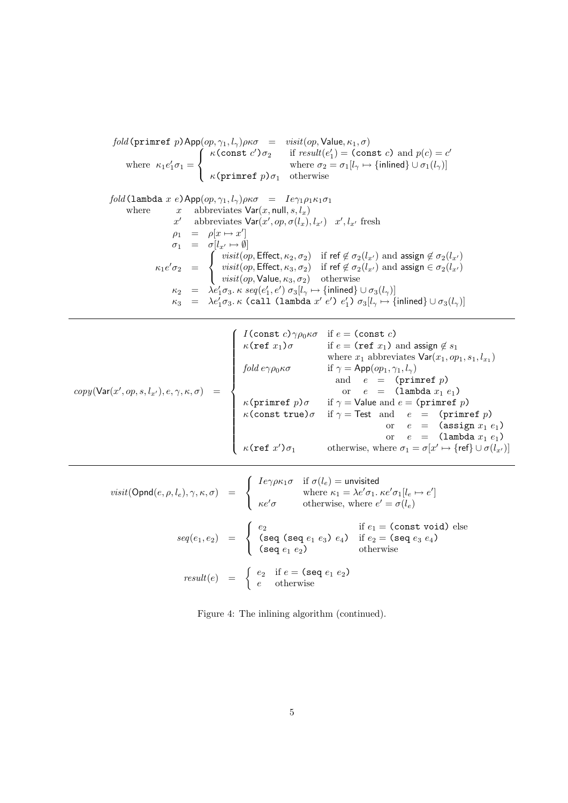$\mathit{fold}\,(\texttt{primref}\,\,p)$  App $(\mathit{op},\gamma_1,l_\gamma)\rho$ κ $\sigma\quad=\quad \mathit{visit}(\mathit{op},\mathsf{Value},\kappa_1,\sigma)$ where  $\kappa_1 e'_1 \sigma_1 =$  $\sqrt{ }$  $\frac{1}{2}$  $\mathcal{L}$  $\kappa$ (const c') $\sigma_2$  if result(e'<sub>1</sub>) = (const c) and  $p(c) = c'$ where  $\sigma_2 = \sigma_1[l_\gamma \mapsto \{inlined\} \cup \sigma_1(l_\gamma)]$  $\kappa$ (primref  $p$ ) $\sigma_1$  otherwise

fold(lambda x e)App $(op, \gamma_1, l_\gamma)\rho\kappa\sigma = Ie\gamma_1\rho_1\kappa_1\sigma_1$ where  $x$  abbreviates  $Var(x, null, s, l_x)$ x' abbreviates  $\text{Var}(x', op, \sigma(l_x), l_{x'})$  x',  $l_{x'}$  fresh  $\rho_1 = \rho[x \mapsto x']$  $\sigma_1 = \sigma[l_{x'} \mapsto \emptyset]$  $\kappa_1 e' \sigma_2 =$  $\sqrt{ }$  $\int$  $\mathcal{L}$ visit(op, Effect,  $\kappa_2, \sigma_2$ ) if ref  $\notin \sigma_2(l_{x'})$  and assign  $\notin \sigma_2(l_{x'})$  $visit(op, Effect, \kappa_3, \sigma_2)$  if ref  $\notin \sigma_2(l_{x'})$  and assign  $\in \sigma_2(l_{x'})$  $visit(op,$  Value,  $\kappa_3, \sigma_2)$  otherwise  $\kappa_2$  =  $\lambda e'_1 \sigma_3$ .  $\kappa$   $seq(e'_1, e') \sigma_3[l_\gamma \mapsto \{\text{inlined}\} \cup \sigma_3(l_\gamma)]$  $\kappa_3$  =  $\lambda e'_1 \sigma_3$ . $\kappa$  (call (lambda  $x'$   $e'$ )  $e'_1$ )  $\sigma_3[l_\gamma \mapsto \{\text{inlined}\} \cup \sigma_3(l_\gamma)]$ 

|                                                               | $I(\text{const }c) \gamma \rho_0 \kappa \sigma$ κ(ref x <sub>1</sub> )σ | if $e = (const c)$<br>if $e = (\text{ref } x_1)$ and assign $\notin s_1$                                                                                                             |
|---------------------------------------------------------------|-------------------------------------------------------------------------|--------------------------------------------------------------------------------------------------------------------------------------------------------------------------------------|
|                                                               |                                                                         | where $x_1$ abbreviates $\text{Var}(x_1, op_1, s_1, l_{x_1})$                                                                                                                        |
|                                                               | fold $e\gamma\rho_0\kappa\sigma$                                        |                                                                                                                                                                                      |
|                                                               |                                                                         | if $\gamma = \mathsf{App}(op_1, \gamma_1, l_\gamma)$                                                                                                                                 |
|                                                               |                                                                         | and $e = (prime \ p)$                                                                                                                                                                |
| $copy(\textsf{Var}(x',op,s,l_{x'}),e,\gamma,\kappa,\sigma) =$ |                                                                         | or $e = (\text{lambda } x_1 e_1)$                                                                                                                                                    |
|                                                               |                                                                         | $\kappa$ (primref <i>p</i> ) $\sigma$ if $\gamma$ = Value and <i>e</i> = (primref <i>p</i> )<br>$\kappa$ (const true) $\sigma$ if $\gamma$ = Test and <i>e</i> = (primref <i>p</i> ) |
|                                                               |                                                                         |                                                                                                                                                                                      |
|                                                               |                                                                         | or $e = (\text{assign } x_1 \ e_1)$                                                                                                                                                  |
|                                                               |                                                                         | or $e = (\text{lambda } x_1 e_1)$                                                                                                                                                    |
|                                                               | $\kappa$ (ref $x'$ ) $\sigma_1$                                         | otherwise, where $\sigma_1 = \sigma[x' \mapsto {\text{ref}} \cup \sigma(l_{x'})]$                                                                                                    |

$$
visit(\text{Opnd}(e, \rho, l_e), \gamma, \kappa, \sigma) = \begin{cases} Ie\gamma\rho\kappa_1\sigma & \text{if } \sigma(l_e) = \text{unvisited} \\ \text{where } \kappa_1 = \lambda e'\sigma_1. \ \kappa e'\sigma_1[l_e \mapsto e'] \\ \kappa e'\sigma & \text{otherwise, where } e' = \sigma(l_e) \end{cases}
$$

$$
seq(e_1, e_2) = \begin{cases} e_2 & \text{if } e_1 = (\text{const void}) \text{ else} \\ (\text{seq (seq e_1 e_2) } e_1) & \text{if } e_2 = (\text{seq } e_3 e_4) \\ (\text{seq } e_1 e_2) & \text{otherwise} \end{cases}
$$

$$
result(e) = \begin{cases} e_2 & \text{if } e = (\text{seq } e_1 e_2) \\ e & \text{otherwise} \end{cases}
$$

Figure 4: The inlining algorithm (continued).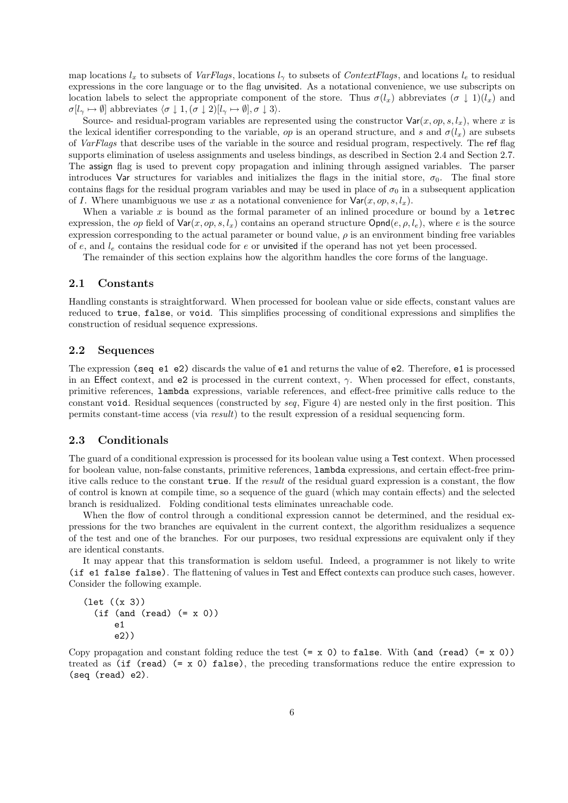map locations  $l_x$  to subsets of VarFlags, locations  $l_y$  to subsets of ContextFlags, and locations  $l_e$  to residual expressions in the core language or to the flag unvisited. As a notational convenience, we use subscripts on location labels to select the appropriate component of the store. Thus  $\sigma(l_x)$  abbreviates  $(\sigma \downarrow 1)(l_x)$  and  $\sigma[l_{\gamma} \mapsto \emptyset]$  abbreviates  $\langle \sigma \downarrow 1, (\sigma \downarrow 2)[l_{\gamma} \mapsto \emptyset], \sigma \downarrow 3 \rangle$ .

Source- and residual-program variables are represented using the constructor  $\text{Var}(x, op, s, l_x)$ , where x is the lexical identifier corresponding to the variable, op is an operand structure, and s and  $\sigma(l_x)$  are subsets of VarFlags that describe uses of the variable in the source and residual program, respectively. The ref flag supports elimination of useless assignments and useless bindings, as described in Section 2.4 and Section 2.7. The assign flag is used to prevent copy propagation and inlining through assigned variables. The parser introduces Var structures for variables and initializes the flags in the initial store,  $\sigma_0$ . The final store contains flags for the residual program variables and may be used in place of  $\sigma_0$  in a subsequent application of I. Where unambiguous we use x as a notational convenience for  $\text{Var}(x, op, s, l_x)$ .

When a variable  $x$  is bound as the formal parameter of an inlined procedure or bound by a letrec expression, the op field of  $\text{Var}(x, op, s, l_x)$  contains an operand structure  $\text{Opnd}(e, o, l_e)$ , where e is the source expression corresponding to the actual parameter or bound value,  $\rho$  is an environment binding free variables of e, and  $l_e$  contains the residual code for e or unvisited if the operand has not yet been processed.

The remainder of this section explains how the algorithm handles the core forms of the language.

### 2.1 Constants

Handling constants is straightforward. When processed for boolean value or side effects, constant values are reduced to true, false, or void. This simplifies processing of conditional expressions and simplifies the construction of residual sequence expressions.

### 2.2 Sequences

The expression (seq e1 e2) discards the value of e1 and returns the value of e2. Therefore, e1 is processed in an Effect context, and e2 is processed in the current context,  $\gamma$ . When processed for effect, constants, primitive references, lambda expressions, variable references, and effect-free primitive calls reduce to the constant void. Residual sequences (constructed by seq, Figure 4) are nested only in the first position. This permits constant-time access (via result) to the result expression of a residual sequencing form.

### 2.3 Conditionals

The guard of a conditional expression is processed for its boolean value using a Test context. When processed for boolean value, non-false constants, primitive references, lambda expressions, and certain effect-free primitive calls reduce to the constant true. If the result of the residual guard expression is a constant, the flow of control is known at compile time, so a sequence of the guard (which may contain effects) and the selected branch is residualized. Folding conditional tests eliminates unreachable code.

When the flow of control through a conditional expression cannot be determined, and the residual expressions for the two branches are equivalent in the current context, the algorithm residualizes a sequence of the test and one of the branches. For our purposes, two residual expressions are equivalent only if they are identical constants.

It may appear that this transformation is seldom useful. Indeed, a programmer is not likely to write (if e1 false false). The flattening of values in Test and Effect contexts can produce such cases, however. Consider the following example.

```
(let ((x 3))
  (if (and (read) (= x 0))e1
      e2))
```
Copy propagation and constant folding reduce the test  $(= x 0)$  to false. With (and (read)  $(= x 0)$ ) treated as (if  $(\text{read})$ ) (= x 0) false), the preceding transformations reduce the entire expression to (seq (read) e2).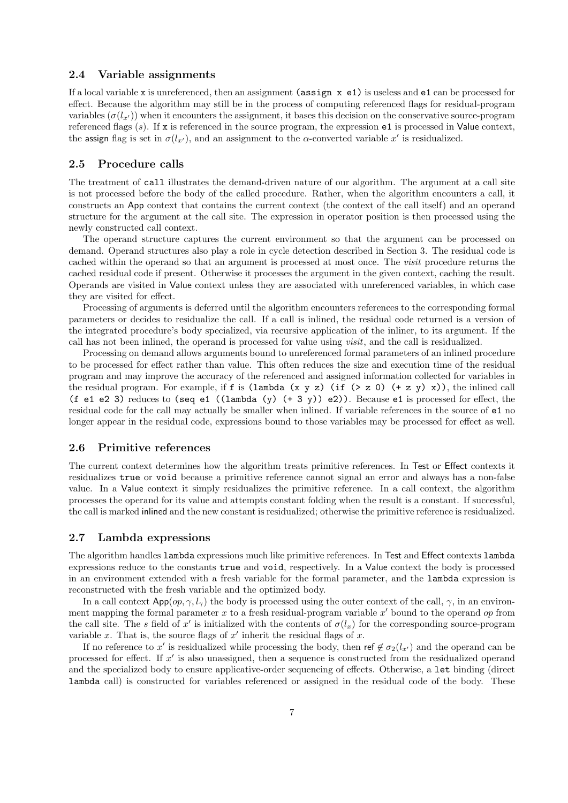#### 2.4 Variable assignments

If a local variable x is unreferenced, then an assignment ( $\text{assign } x \text{ el}$ ) is useless and  $\text{el}$  can be processed for effect. Because the algorithm may still be in the process of computing referenced flags for residual-program variables  $(\sigma(l_{x}))$  when it encounters the assignment, it bases this decision on the conservative source-program referenced flags  $(s)$ . If x is referenced in the source program, the expression  $e1$  is processed in Value context, the assign flag is set in  $\sigma(l_{x'})$ , and an assignment to the  $\alpha$ -converted variable  $x'$  is residualized.

# 2.5 Procedure calls

The treatment of call illustrates the demand-driven nature of our algorithm. The argument at a call site is not processed before the body of the called procedure. Rather, when the algorithm encounters a call, it constructs an App context that contains the current context (the context of the call itself) and an operand structure for the argument at the call site. The expression in operator position is then processed using the newly constructed call context.

The operand structure captures the current environment so that the argument can be processed on demand. Operand structures also play a role in cycle detection described in Section 3. The residual code is cached within the operand so that an argument is processed at most once. The visit procedure returns the cached residual code if present. Otherwise it processes the argument in the given context, caching the result. Operands are visited in Value context unless they are associated with unreferenced variables, in which case they are visited for effect.

Processing of arguments is deferred until the algorithm encounters references to the corresponding formal parameters or decides to residualize the call. If a call is inlined, the residual code returned is a version of the integrated procedure's body specialized, via recursive application of the inliner, to its argument. If the call has not been inlined, the operand is processed for value using visit, and the call is residualized.

Processing on demand allows arguments bound to unreferenced formal parameters of an inlined procedure to be processed for effect rather than value. This often reduces the size and execution time of the residual program and may improve the accuracy of the referenced and assigned information collected for variables in the residual program. For example, if f is (lambda (x y z) (if (> z 0) (+ z y) x)), the inlined call (f e1 e2 3) reduces to (seq e1 ((lambda (y)  $(+ 3 y)$ ) e2)). Because e1 is processed for effect, the residual code for the call may actually be smaller when inlined. If variable references in the source of e1 no longer appear in the residual code, expressions bound to those variables may be processed for effect as well.

### 2.6 Primitive references

The current context determines how the algorithm treats primitive references. In Test or Effect contexts it residualizes true or void because a primitive reference cannot signal an error and always has a non-false value. In a Value context it simply residualizes the primitive reference. In a call context, the algorithm processes the operand for its value and attempts constant folding when the result is a constant. If successful, the call is marked inlined and the new constant is residualized; otherwise the primitive reference is residualized.

### 2.7 Lambda expressions

The algorithm handles lambda expressions much like primitive references. In Test and Effect contexts lambda expressions reduce to the constants true and void, respectively. In a Value context the body is processed in an environment extended with a fresh variable for the formal parameter, and the lambda expression is reconstructed with the fresh variable and the optimized body.

In a call context  $\mathsf{App}(op, \gamma, l_\gamma)$  the body is processed using the outer context of the call,  $\gamma$ , in an environment mapping the formal parameter  $x$  to a fresh residual-program variable  $x'$  bound to the operand op from the call site. The s field of x' is initialized with the contents of  $\sigma(l_x)$  for the corresponding source-program variable  $x$ . That is, the source flags of  $x'$  inherit the residual flags of  $x$ .

If no reference to x' is residualized while processing the body, then ref  $\notin \sigma_2(l_{x'})$  and the operand can be processed for effect. If  $x'$  is also unassigned, then a sequence is constructed from the residualized operand and the specialized body to ensure applicative-order sequencing of effects. Otherwise, a let binding (direct lambda call) is constructed for variables referenced or assigned in the residual code of the body. These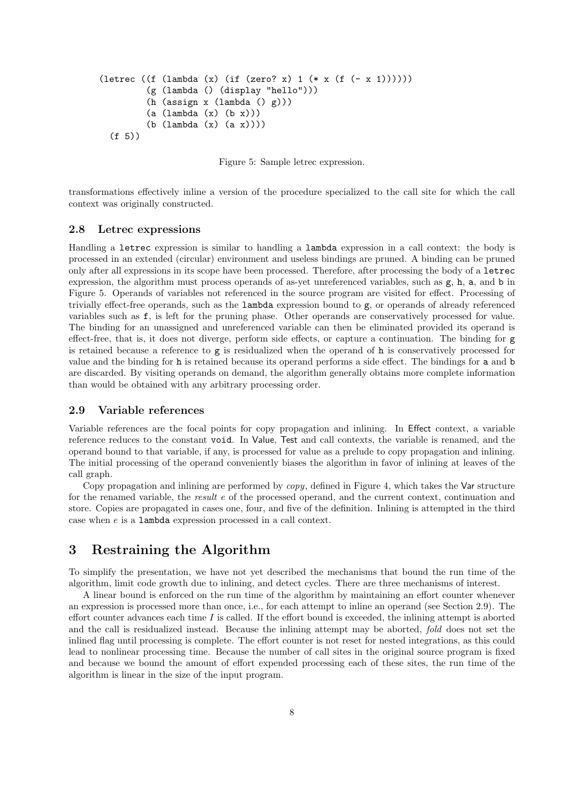```
(letrec ((f (lambda (x) (if (zero? x) 1 (* x (f (- x 1)))))))
         (g (lambda () (display "hello")))
         (h (assign x (lambda () g)))
         (a (lambda (x) (b x)))
         (b (lambda (x) (a x))))
  (f 5))
```
Figure 5: Sample letrec expression.

transformations effectively inline a version of the procedure specialized to the call site for which the call context was originally constructed.

### 2.8 Letrec expressions

Handling a letrec expression is similar to handling a lambda expression in a call context: the body is processed in an extended (circular) environment and useless bindings are pruned. A binding can be pruned only after all expressions in its scope have been processed. Therefore, after processing the body of a letrec expression, the algorithm must process operands of as-yet unreferenced variables, such as g, h, a, and b in Figure 5. Operands of variables not referenced in the source program are visited for effect. Processing of trivially effect-free operands, such as the lambda expression bound to g, or operands of already referenced variables such as f, is left for the pruning phase. Other operands are conservatively processed for value. The binding for an unassigned and unreferenced variable can then be eliminated provided its operand is effect-free, that is, it does not diverge, perform side effects, or capture a continuation. The binding for g is retained because a reference to  $g$  is residualized when the operand of h is conservatively processed for value and the binding for h is retained because its operand performs a side effect. The bindings for a and b are discarded. By visiting operands on demand, the algorithm generally obtains more complete information than would be obtained with any arbitrary processing order.

#### 2.9 Variable references

Variable references are the focal points for copy propagation and inlining. In Effect context, a variable reference reduces to the constant void. In Value, Test and call contexts, the variable is renamed, and the operand bound to that variable, if any, is processed for value as a prelude to copy propagation and inlining. The initial processing of the operand conveniently biases the algorithm in favor of inlining at leaves of the call graph.

Copy propagation and inlining are performed by  $copy$ , defined in Figure 4, which takes the Var structure for the renamed variable, the *result* e of the processed operand, and the current context, continuation and store. Copies are propagated in cases one, four, and five of the definition. Inlining is attempted in the third case when e is a lambda expression processed in a call context.

# 3 Restraining the Algorithm

To simplify the presentation, we have not yet described the mechanisms that bound the run time of the algorithm, limit code growth due to inlining, and detect cycles. There are three mechanisms of interest.

A linear bound is enforced on the run time of the algorithm by maintaining an effort counter whenever an expression is processed more than once, i.e., for each attempt to inline an operand (see Section 2.9). The effort counter advances each time  $I$  is called. If the effort bound is exceeded, the inlining attempt is aborted and the call is residualized instead. Because the inlining attempt may be aborted, fold does not set the inlined flag until processing is complete. The effort counter is not reset for nested integrations, as this could lead to nonlinear processing time. Because the number of call sites in the original source program is fixed and because we bound the amount of effort expended processing each of these sites, the run time of the algorithm is linear in the size of the input program.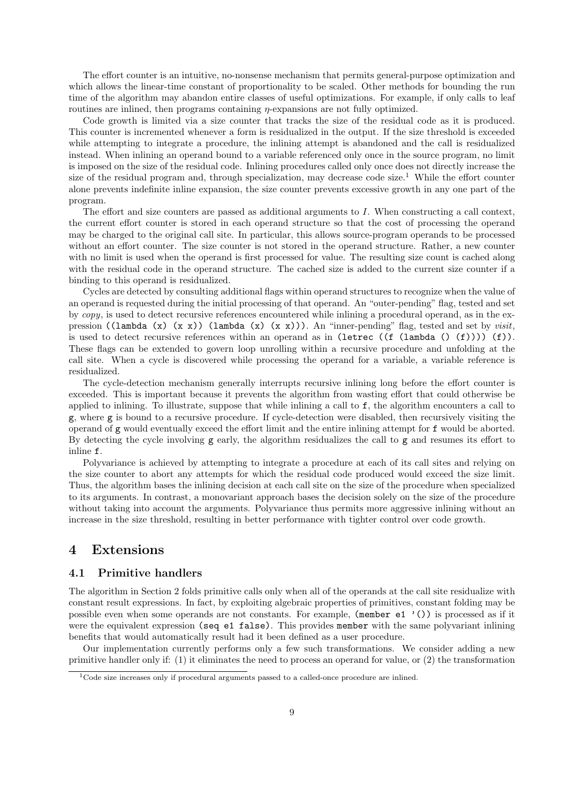The effort counter is an intuitive, no-nonsense mechanism that permits general-purpose optimization and which allows the linear-time constant of proportionality to be scaled. Other methods for bounding the run time of the algorithm may abandon entire classes of useful optimizations. For example, if only calls to leaf routines are inlined, then programs containing η-expansions are not fully optimized.

Code growth is limited via a size counter that tracks the size of the residual code as it is produced. This counter is incremented whenever a form is residualized in the output. If the size threshold is exceeded while attempting to integrate a procedure, the inlining attempt is abandoned and the call is residualized instead. When inlining an operand bound to a variable referenced only once in the source program, no limit is imposed on the size of the residual code. Inlining procedures called only once does not directly increase the size of the residual program and, through specialization, may decrease code size.<sup>1</sup> While the effort counter alone prevents indefinite inline expansion, the size counter prevents excessive growth in any one part of the program.

The effort and size counters are passed as additional arguments to I. When constructing a call context, the current effort counter is stored in each operand structure so that the cost of processing the operand may be charged to the original call site. In particular, this allows source-program operands to be processed without an effort counter. The size counter is not stored in the operand structure. Rather, a new counter with no limit is used when the operand is first processed for value. The resulting size count is cached along with the residual code in the operand structure. The cached size is added to the current size counter if a binding to this operand is residualized.

Cycles are detected by consulting additional flags within operand structures to recognize when the value of an operand is requested during the initial processing of that operand. An "outer-pending" flag, tested and set by copy, is used to detect recursive references encountered while inlining a procedural operand, as in the expression ((lambda (x) (x x)) (lambda (x) (x x))). An "inner-pending" flag, tested and set by visit, is used to detect recursive references within an operand as in (letrec  $((f (lambda (f)))) (f))$ . These flags can be extended to govern loop unrolling within a recursive procedure and unfolding at the call site. When a cycle is discovered while processing the operand for a variable, a variable reference is residualized.

The cycle-detection mechanism generally interrupts recursive inlining long before the effort counter is exceeded. This is important because it prevents the algorithm from wasting effort that could otherwise be applied to inlining. To illustrate, suppose that while inlining a call to f, the algorithm encounters a call to g, where g is bound to a recursive procedure. If cycle-detection were disabled, then recursively visiting the operand of g would eventually exceed the effort limit and the entire inlining attempt for f would be aborted. By detecting the cycle involving g early, the algorithm residualizes the call to g and resumes its effort to inline f.

Polyvariance is achieved by attempting to integrate a procedure at each of its call sites and relying on the size counter to abort any attempts for which the residual code produced would exceed the size limit. Thus, the algorithm bases the inlining decision at each call site on the size of the procedure when specialized to its arguments. In contrast, a monovariant approach bases the decision solely on the size of the procedure without taking into account the arguments. Polyvariance thus permits more aggressive inlining without an increase in the size threshold, resulting in better performance with tighter control over code growth.

# 4 Extensions

### 4.1 Primitive handlers

The algorithm in Section 2 folds primitive calls only when all of the operands at the call site residualize with constant result expressions. In fact, by exploiting algebraic properties of primitives, constant folding may be possible even when some operands are not constants. For example, (member e1 '()) is processed as if it were the equivalent expression (seq e1 false). This provides member with the same polyvariant inlining benefits that would automatically result had it been defined as a user procedure.

Our implementation currently performs only a few such transformations. We consider adding a new primitive handler only if: (1) it eliminates the need to process an operand for value, or (2) the transformation

<sup>1</sup>Code size increases only if procedural arguments passed to a called-once procedure are inlined.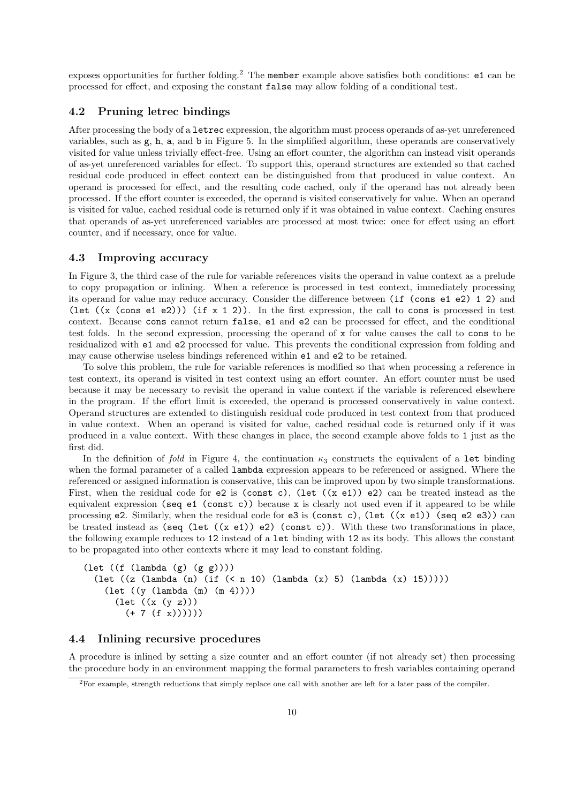exposes opportunities for further folding.<sup>2</sup> The member example above satisfies both conditions: e1 can be processed for effect, and exposing the constant false may allow folding of a conditional test.

## 4.2 Pruning letrec bindings

After processing the body of a letrec expression, the algorithm must process operands of as-yet unreferenced variables, such as  $g$ , h, a, and b in Figure 5. In the simplified algorithm, these operands are conservatively visited for value unless trivially effect-free. Using an effort counter, the algorithm can instead visit operands of as-yet unreferenced variables for effect. To support this, operand structures are extended so that cached residual code produced in effect context can be distinguished from that produced in value context. An operand is processed for effect, and the resulting code cached, only if the operand has not already been processed. If the effort counter is exceeded, the operand is visited conservatively for value. When an operand is visited for value, cached residual code is returned only if it was obtained in value context. Caching ensures that operands of as-yet unreferenced variables are processed at most twice: once for effect using an effort counter, and if necessary, once for value.

### 4.3 Improving accuracy

In Figure 3, the third case of the rule for variable references visits the operand in value context as a prelude to copy propagation or inlining. When a reference is processed in test context, immediately processing its operand for value may reduce accuracy. Consider the difference between (if (cons e1 e2) 1 2) and (let  $((x (cons e1 e2)))$  (if  $x 1 2)$ ). In the first expression, the call to cons is processed in test context. Because cons cannot return false, e1 and e2 can be processed for effect, and the conditional test folds. In the second expression, processing the operand of x for value causes the call to cons to be residualized with e1 and e2 processed for value. This prevents the conditional expression from folding and may cause otherwise useless bindings referenced within e1 and e2 to be retained.

To solve this problem, the rule for variable references is modified so that when processing a reference in test context, its operand is visited in test context using an effort counter. An effort counter must be used because it may be necessary to revisit the operand in value context if the variable is referenced elsewhere in the program. If the effort limit is exceeded, the operand is processed conservatively in value context. Operand structures are extended to distinguish residual code produced in test context from that produced in value context. When an operand is visited for value, cached residual code is returned only if it was produced in a value context. With these changes in place, the second example above folds to 1 just as the first did.

In the definition of fold in Figure 4, the continuation  $\kappa_3$  constructs the equivalent of a let binding when the formal parameter of a called lambda expression appears to be referenced or assigned. Where the referenced or assigned information is conservative, this can be improved upon by two simple transformations. First, when the residual code for  $e2$  is (const c), (let  $((x e1)) e2$ ) can be treated instead as the equivalent expression (seq e1 (const c)) because x is clearly not used even if it appeared to be while processing e2. Similarly, when the residual code for e3 is (const c), (let ((x e1)) (seq e2 e3)) can be treated instead as (seq (let  $((x \t{e}1)) \t{e}2)$  (const c)). With these two transformations in place, the following example reduces to 12 instead of a let binding with 12 as its body. This allows the constant to be propagated into other contexts where it may lead to constant folding.

```
(let ((f (lambda (g) (g g))))(let ((z (lambda (n) (if (< n 10) (lambda (x) 5) (lambda (x) 15)))))
    (let ((y (lambda (m) (m 4))))
      (\text{let } ((x (y z)))(+ 7 (f x))))
```
# 4.4 Inlining recursive procedures

A procedure is inlined by setting a size counter and an effort counter (if not already set) then processing the procedure body in an environment mapping the formal parameters to fresh variables containing operand

<sup>&</sup>lt;sup>2</sup>For example, strength reductions that simply replace one call with another are left for a later pass of the compiler.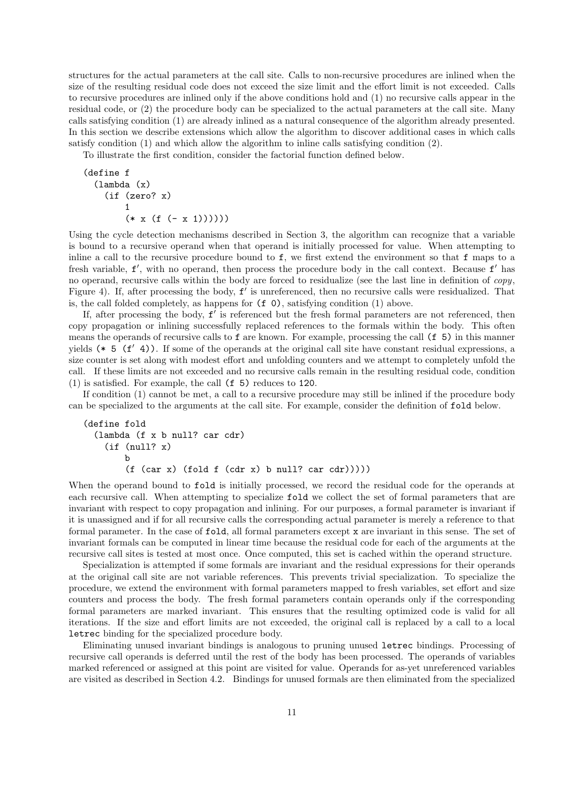structures for the actual parameters at the call site. Calls to non-recursive procedures are inlined when the size of the resulting residual code does not exceed the size limit and the effort limit is not exceeded. Calls to recursive procedures are inlined only if the above conditions hold and (1) no recursive calls appear in the residual code, or (2) the procedure body can be specialized to the actual parameters at the call site. Many calls satisfying condition (1) are already inlined as a natural consequence of the algorithm already presented. In this section we describe extensions which allow the algorithm to discover additional cases in which calls satisfy condition (1) and which allow the algorithm to inline calls satisfying condition (2).

To illustrate the first condition, consider the factorial function defined below.

```
(define f
  (lambda (x)
    (if (zero? x)
        1
        (* x (f (- x 1))))))
```
Using the cycle detection mechanisms described in Section 3, the algorithm can recognize that a variable is bound to a recursive operand when that operand is initially processed for value. When attempting to inline a call to the recursive procedure bound to f, we first extend the environment so that f maps to a fresh variable,  $f'$ , with no operand, then process the procedure body in the call context. Because  $f'$  has no operand, recursive calls within the body are forced to residualize (see the last line in definition of copy, Figure 4). If, after processing the body,  $f'$  is unreferenced, then no recursive calls were residualized. That is, the call folded completely, as happens for (f 0), satisfying condition (1) above.

If, after processing the body,  $f'$  is referenced but the fresh formal parameters are not referenced, then copy propagation or inlining successfully replaced references to the formals within the body. This often means the operands of recursive calls to f are known. For example, processing the call (f 5) in this manner yields  $(* 5 (f' 4))$ . If some of the operands at the original call site have constant residual expressions, a size counter is set along with modest effort and unfolding counters and we attempt to completely unfold the call. If these limits are not exceeded and no recursive calls remain in the resulting residual code, condition (1) is satisfied. For example, the call (f 5) reduces to 120.

If condition (1) cannot be met, a call to a recursive procedure may still be inlined if the procedure body can be specialized to the arguments at the call site. For example, consider the definition of fold below.

```
(define fold
  (lambda (f x b null? car cdr)
    (if (null? x)
       b
        (f (car x) (fold f (cdr x) b null? car cdr))))
```
When the operand bound to fold is initially processed, we record the residual code for the operands at each recursive call. When attempting to specialize fold we collect the set of formal parameters that are invariant with respect to copy propagation and inlining. For our purposes, a formal parameter is invariant if it is unassigned and if for all recursive calls the corresponding actual parameter is merely a reference to that formal parameter. In the case of fold, all formal parameters except x are invariant in this sense. The set of invariant formals can be computed in linear time because the residual code for each of the arguments at the recursive call sites is tested at most once. Once computed, this set is cached within the operand structure.

Specialization is attempted if some formals are invariant and the residual expressions for their operands at the original call site are not variable references. This prevents trivial specialization. To specialize the procedure, we extend the environment with formal parameters mapped to fresh variables, set effort and size counters and process the body. The fresh formal parameters contain operands only if the corresponding formal parameters are marked invariant. This ensures that the resulting optimized code is valid for all iterations. If the size and effort limits are not exceeded, the original call is replaced by a call to a local letrec binding for the specialized procedure body.

Eliminating unused invariant bindings is analogous to pruning unused letrec bindings. Processing of recursive call operands is deferred until the rest of the body has been processed. The operands of variables marked referenced or assigned at this point are visited for value. Operands for as-yet unreferenced variables are visited as described in Section 4.2. Bindings for unused formals are then eliminated from the specialized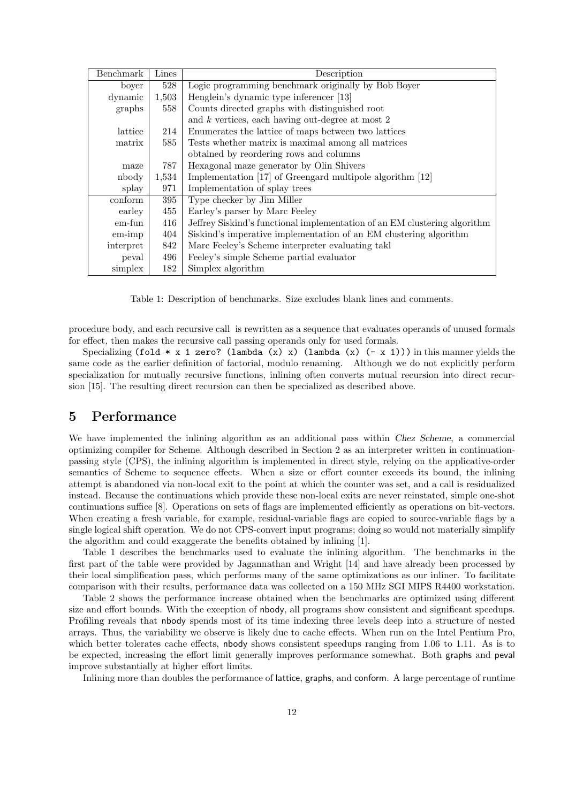| Benchmark       | Lines | Description                                                               |
|-----------------|-------|---------------------------------------------------------------------------|
| boyer           | 528   | Logic programming benchmark originally by Bob Boyer                       |
| dynamic         | 1,503 | Henglein's dynamic type inferencer [13]                                   |
| graphs          | 558   | Counts directed graphs with distinguished root                            |
|                 |       | and $k$ vertices, each having out-degree at most 2                        |
| lattice         | 214   | Enumerates the lattice of maps between two lattices                       |
| matrix          | 585   | Tests whether matrix is maximal among all matrices                        |
|                 |       | obtained by reordering rows and columns                                   |
| maze            | 787   | Hexagonal maze generator by Olin Shivers                                  |
| nbody           | 1,534 | Implementation [17] of Greengard multipole algorithm [12]                 |
| splay           | 971   | Implementation of splay trees                                             |
| conform         | 395   | Type checker by Jim Miller                                                |
| earley          | 455   | Earley's parser by Marc Feeley                                            |
| em-fun          | 416   | Jeffrey Siskind's functional implementation of an EM clustering algorithm |
| $em\text{-}imp$ | 404   | Siskind's imperative implementation of an EM clustering algorithm         |
| interpret       | 842   | Marc Feeley's Scheme interpreter evaluating takl                          |
| peval           | 496   | Feeley's simple Scheme partial evaluator                                  |
| simplex         | 182   | Simplex algorithm                                                         |

Table 1: Description of benchmarks. Size excludes blank lines and comments.

procedure body, and each recursive call is rewritten as a sequence that evaluates operands of unused formals for effect, then makes the recursive call passing operands only for used formals.

Specializing (fold  $* \times 1$  zero? (lambda  $(x) \times$ ) (lambda  $(x) (- \times 1)$ ) in this manner yields the same code as the earlier definition of factorial, modulo renaming. Although we do not explicitly perform specialization for mutually recursive functions, inlining often converts mutual recursion into direct recursion [15]. The resulting direct recursion can then be specialized as described above.

# 5 Performance

We have implemented the inlining algorithm as an additional pass within *Chez Scheme*, a commercial optimizing compiler for Scheme. Although described in Section 2 as an interpreter written in continuationpassing style (CPS), the inlining algorithm is implemented in direct style, relying on the applicative-order semantics of Scheme to sequence effects. When a size or effort counter exceeds its bound, the inlining attempt is abandoned via non-local exit to the point at which the counter was set, and a call is residualized instead. Because the continuations which provide these non-local exits are never reinstated, simple one-shot continuations suffice [8]. Operations on sets of flags are implemented efficiently as operations on bit-vectors. When creating a fresh variable, for example, residual-variable flags are copied to source-variable flags by a single logical shift operation. We do not CPS-convert input programs; doing so would not materially simplify the algorithm and could exaggerate the benefits obtained by inlining [1].

Table 1 describes the benchmarks used to evaluate the inlining algorithm. The benchmarks in the first part of the table were provided by Jagannathan and Wright [14] and have already been processed by their local simplification pass, which performs many of the same optimizations as our inliner. To facilitate comparison with their results, performance data was collected on a 150 MHz SGI MIPS R4400 workstation.

Table 2 shows the performance increase obtained when the benchmarks are optimized using different size and effort bounds. With the exception of nbody, all programs show consistent and significant speedups. Profiling reveals that nbody spends most of its time indexing three levels deep into a structure of nested arrays. Thus, the variability we observe is likely due to cache effects. When run on the Intel Pentium Pro, which better tolerates cache effects, nbody shows consistent speedups ranging from 1.06 to 1.11. As is to be expected, increasing the effort limit generally improves performance somewhat. Both graphs and peval improve substantially at higher effort limits.

Inlining more than doubles the performance of lattice, graphs, and conform. A large percentage of runtime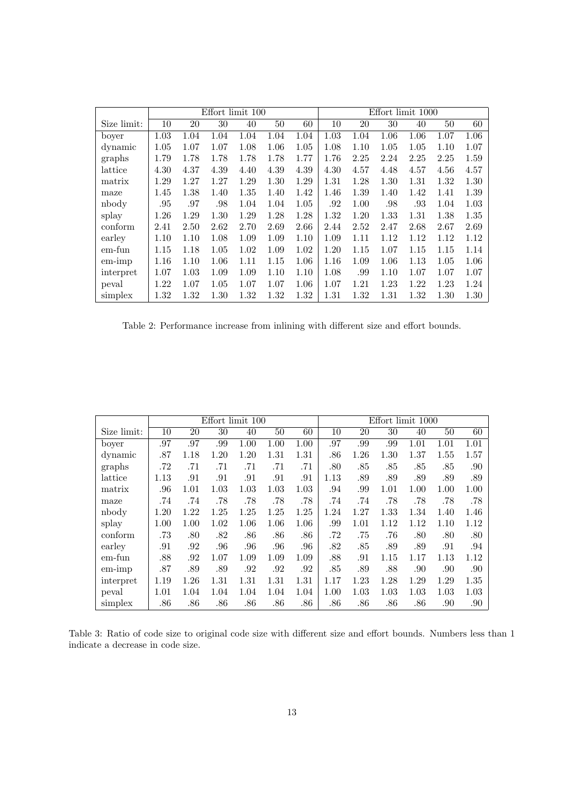|                 |      |      |      | Effort limit 100 |      | Effort limit 1000 |      |      |      |      |      |      |  |
|-----------------|------|------|------|------------------|------|-------------------|------|------|------|------|------|------|--|
| Size limit:     | 10   | 20   | 30   | 40               | 50   | 60                | 10   | 20   | 30   | 40   | 50   | 60   |  |
| boyer           | 1.03 | 1.04 | 1.04 | 1.04             | 1.04 | 1.04              | 1.03 | 1.04 | 1.06 | 1.06 | 1.07 | 1.06 |  |
| dynamic         | 1.05 | 1.07 | 1.07 | 1.08             | 1.06 | 1.05              | 1.08 | 1.10 | 1.05 | 1.05 | 1.10 | 1.07 |  |
| graphs          | 1.79 | 1.78 | 1.78 | 1.78             | 1.78 | 1.77              | 1.76 | 2.25 | 2.24 | 2.25 | 2.25 | 1.59 |  |
| lattice         | 4.30 | 4.37 | 4.39 | 4.40             | 4.39 | 4.39              | 4.30 | 4.57 | 4.48 | 4.57 | 4.56 | 4.57 |  |
| matrix          | 1.29 | 1.27 | 1.27 | 1.29             | 1.30 | 1.29              | 1.31 | 1.28 | 1.30 | 1.31 | 1.32 | 1.30 |  |
| maze            | 1.45 | 1.38 | 1.40 | 1.35             | 1.40 | 1.42              | 1.46 | 1.39 | 1.40 | 1.42 | 1.41 | 1.39 |  |
| nbody           | .95  | .97  | .98  | 1.04             | 1.04 | 1.05              | .92  | 1.00 | .98  | .93  | 1.04 | 1.03 |  |
| splay           | 1.26 | 1.29 | 1.30 | 1.29             | 1.28 | 1.28              | 1.32 | 1.20 | 1.33 | 1.31 | 1.38 | 1.35 |  |
| conform         | 2.41 | 2.50 | 2.62 | 2.70             | 2.69 | 2.66              | 2.44 | 2.52 | 2.47 | 2.68 | 2.67 | 2.69 |  |
| earley          | 1.10 | 1.10 | 1.08 | 1.09             | 1.09 | 1.10              | 1.09 | 1.11 | 1.12 | 1.12 | 1.12 | 1.12 |  |
| em-fun          | 1.15 | 1.18 | 1.05 | 1.02             | 1.09 | 1.02              | 1.20 | 1.15 | 1.07 | 1.15 | 1.15 | 1.14 |  |
| $em\text{-}imp$ | 1.16 | 1.10 | 1.06 | 1.11             | 1.15 | 1.06              | 1.16 | 1.09 | 1.06 | 1.13 | 1.05 | 1.06 |  |
| interpret       | 1.07 | 1.03 | 1.09 | 1.09             | 1.10 | 1.10              | 1.08 | .99  | 1.10 | 1.07 | 1.07 | 1.07 |  |
| peval           | 1.22 | 1.07 | 1.05 | 1.07             | 1.07 | 1.06              | 1.07 | 1.21 | 1.23 | 1.22 | 1.23 | 1.24 |  |
| simplex         | 1.32 | 1.32 | 1.30 | 1.32             | 1.32 | 1.32              | 1.31 | 1.32 | 1.31 | 1.32 | 1.30 | 1.30 |  |

Table 2: Performance increase from inlining with different size and effort bounds.

|                 |      |      |      | Effort limit 100 |      | Effort limit 1000 |      |      |      |      |      |      |
|-----------------|------|------|------|------------------|------|-------------------|------|------|------|------|------|------|
| Size limit:     | 10   | 20   | 30   | 40               | 50   | 60                | 10   | 20   | 30   | 40   | 50   | 60   |
| boyer           | .97  | .97  | .99  | 1.00             | 1.00 | 1.00              | .97  | .99  | .99  | 1.01 | 1.01 | 1.01 |
| dynamic         | .87  | 1.18 | 1.20 | 1.20             | 1.31 | 1.31              | .86  | 1.26 | 1.30 | 1.37 | 1.55 | 1.57 |
| graphs          | .72  | .71  | .71  | .71              | .71  | .71               | .80  | .85  | .85  | .85  | .85  | .90  |
| lattice         | 1.13 | .91  | .91  | .91              | .91  | .91               | 1.13 | .89  | .89  | .89  | .89  | .89  |
| matrix          | .96  | 1.01 | 1.03 | 1.03             | 1.03 | 1.03              | .94  | .99  | 1.01 | 1.00 | 1.00 | 1.00 |
| maze            | .74  | .74  | .78  | .78              | .78  | .78               | .74  | .74  | .78  | .78  | .78  | .78  |
| nbody           | 1.20 | 1.22 | 1.25 | 1.25             | 1.25 | 1.25              | 1.24 | 1.27 | 1.33 | 1.34 | 1.40 | 1.46 |
| splay           | 1.00 | 1.00 | 1.02 | 1.06             | 1.06 | 1.06              | .99  | 1.01 | 1.12 | 1.12 | 1.10 | 1.12 |
| conform         | .73  | .80  | .82  | .86              | .86  | .86               | .72  | .75  | .76  | .80  | .80  | .80  |
| earley          | .91  | .92  | .96  | .96              | .96  | .96               | .82  | .85  | .89  | .89  | .91  | .94  |
| em-fun          | .88  | .92  | 1.07 | 1.09             | 1.09 | 1.09              | .88  | .91  | 1.15 | 1.17 | 1.13 | 1.12 |
| $em\text{-}imp$ | .87  | .89  | .89  | .92              | .92  | .92               | .85  | .89  | .88  | .90  | .90  | .90  |
| interpret       | 1.19 | 1.26 | 1.31 | 1.31             | 1.31 | 1.31              | 1.17 | 1.23 | 1.28 | 1.29 | 1.29 | 1.35 |
| peval           | 1.01 | 1.04 | 1.04 | 1.04             | 1.04 | 1.04              | 1.00 | 1.03 | 1.03 | 1.03 | 1.03 | 1.03 |
| simplex         | .86  | .86  | .86  | .86              | .86  | .86               | .86  | .86  | .86  | .86  | .90  | .90  |

Table 3: Ratio of code size to original code size with different size and effort bounds. Numbers less than 1 indicate a decrease in code size.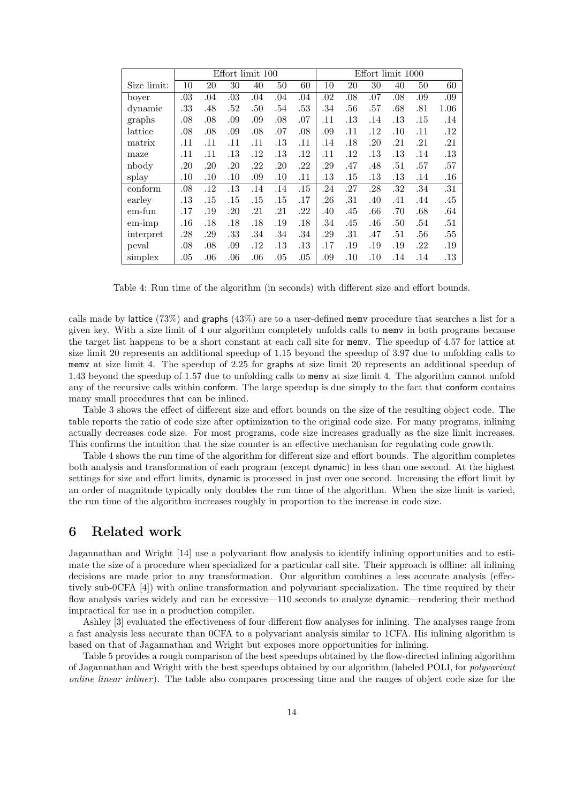|                 |         |     | Effort limit 100 |     |     | Effort limit 1000 |     |     |     |     |     |      |
|-----------------|---------|-----|------------------|-----|-----|-------------------|-----|-----|-----|-----|-----|------|
| Size limit:     | 10      | 20  | 30               | 40  | 50  | 60                | 10  | 20  | 30  | 40  | 50  | 60   |
| boyer           | .03     | .04 | .03              | .04 | .04 | .04               | .02 | .08 | .07 | .08 | .09 | .09  |
| dynamic         | .33     | .48 | .52              | .50 | .54 | .53               | .34 | .56 | .57 | .68 | .81 | 1.06 |
| graphs          | .08     | .08 | .09              | .09 | .08 | .07               | .11 | .13 | .14 | .13 | .15 | .14  |
| lattice         | .08     | .08 | .09              | .08 | .07 | .08               | .09 | .11 | .12 | .10 | .11 | .12  |
| matrix          | .11     | .11 | .11              | .11 | .13 | .11               | .14 | .18 | .20 | .21 | .21 | .21  |
| maze            | .11     | .11 | .13              | .12 | .13 | .12               | .11 | .12 | .13 | .13 | .14 | .13  |
| nbody           | .20     | .20 | .20              | .22 | .20 | .22               | .29 | .47 | .48 | .51 | .57 | .57  |
| splay           | $.10\,$ | .10 | .10              | .09 | .10 | .11               | .13 | .15 | .13 | .13 | .14 | .16  |
| conform         | .08     | .12 | .13              | .14 | .14 | .15               | .24 | .27 | .28 | .32 | .34 | .31  |
| earley          | .13     | .15 | .15              | .15 | .15 | .17               | .26 | .31 | .40 | .41 | .44 | .45  |
| em-fun          | .17     | .19 | .20              | .21 | .21 | .22               | .40 | .45 | .66 | .70 | .68 | .64  |
| $em\text{-}imp$ | .16     | .18 | .18              | .18 | .19 | .18               | .34 | .45 | .46 | .50 | .54 | .51  |
| interpret       | .28     | .29 | .33              | .34 | .34 | .34               | .29 | .31 | .47 | .51 | .56 | .55  |
| peval           | .08     | .08 | .09              | .12 | .13 | .13               | .17 | .19 | .19 | .19 | .22 | .19  |
| simplex         | .05     | .06 | .06              | .06 | .05 | .05               | .09 | .10 | .10 | .14 | .14 | .13  |

Table 4: Run time of the algorithm (in seconds) with different size and effort bounds.

calls made by lattice (73%) and graphs (43%) are to a user-defined memv procedure that searches a list for a given key. With a size limit of 4 our algorithm completely unfolds calls to memv in both programs because the target list happens to be a short constant at each call site for memv. The speedup of 4.57 for lattice at size limit 20 represents an additional speedup of 1.15 beyond the speedup of 3.97 due to unfolding calls to memv at size limit 4. The speedup of 2.25 for graphs at size limit 20 represents an additional speedup of 1.43 beyond the speedup of 1.57 due to unfolding calls to memv at size limit 4. The algorithm cannot unfold any of the recursive calls within conform. The large speedup is due simply to the fact that conform contains many small procedures that can be inlined.

Table 3 shows the effect of different size and effort bounds on the size of the resulting object code. The table reports the ratio of code size after optimization to the original code size. For many programs, inlining actually decreases code size. For most programs, code size increases gradually as the size limit increases. This confirms the intuition that the size counter is an effective mechanism for regulating code growth.

Table 4 shows the run time of the algorithm for different size and effort bounds. The algorithm completes both analysis and transformation of each program (except dynamic) in less than one second. At the highest settings for size and effort limits, dynamic is processed in just over one second. Increasing the effort limit by an order of magnitude typically only doubles the run time of the algorithm. When the size limit is varied, the run time of the algorithm increases roughly in proportion to the increase in code size.

# 6 Related work

Jagannathan and Wright [14] use a polyvariant flow analysis to identify inlining opportunities and to estimate the size of a procedure when specialized for a particular call site. Their approach is offline: all inlining decisions are made prior to any transformation. Our algorithm combines a less accurate analysis (effectively sub-0CFA [4]) with online transformation and polyvariant specialization. The time required by their flow analysis varies widely and can be excessive—110 seconds to analyze dynamic—rendering their method impractical for use in a production compiler.

Ashley [3] evaluated the effectiveness of four different flow analyses for inlining. The analyses range from a fast analysis less accurate than 0CFA to a polyvariant analysis similar to 1CFA. His inlining algorithm is based on that of Jagannathan and Wright but exposes more opportunities for inlining.

Table 5 provides a rough comparison of the best speedups obtained by the flow-directed inlining algorithm of Jagannathan and Wright with the best speedups obtained by our algorithm (labeled POLI, for polyvariant online linear inliner). The table also compares processing time and the ranges of object code size for the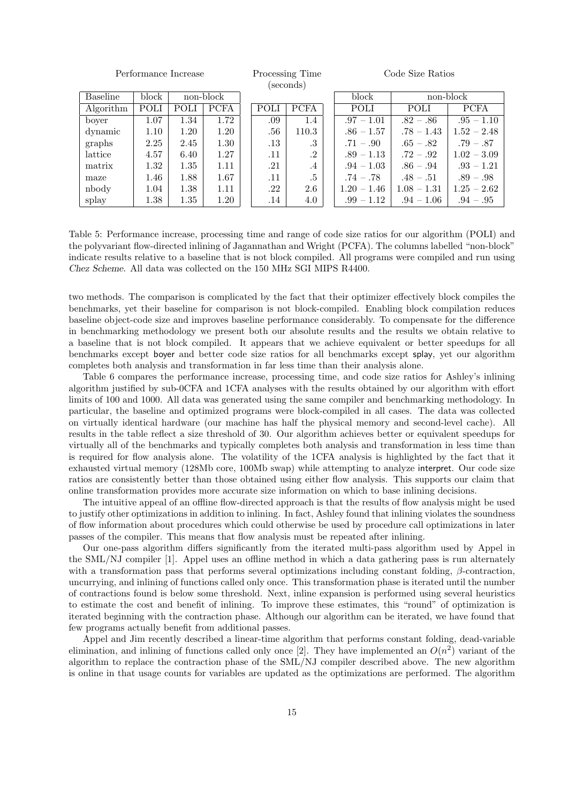| Performance Increase |                    | Processing Time<br>(seconds) |             |  | Code Size Ratios |             |  |               |               |               |
|----------------------|--------------------|------------------------------|-------------|--|------------------|-------------|--|---------------|---------------|---------------|
| <b>Baseline</b>      | non-block<br>block |                              |             |  |                  |             |  | block         |               | non-block     |
| Algorithm            | POLI               | POLI                         | <b>PCFA</b> |  | POLI             | <b>PCFA</b> |  | POLI          | <b>POLI</b>   | <b>PCFA</b>   |
| bover                | 1.07               | 1.34                         | 1.72        |  | .09              | 1.4         |  | $.97 - 1.01$  | $.82-.86$     | $.95 - 1.10$  |
| dynamic              | 1.10               | 1.20                         | 1.20        |  | .56              | 110.3       |  | $.86 - 1.57$  | $.78 - 1.43$  | $1.52 - 2.48$ |
| graphs               | 2.25               | 2.45                         | 1.30        |  | $.13\,$          | .3          |  | $.71 - .90$   | $.65-.82$     | $.79-.87$     |
| lattice              | 4.57               | 6.40                         | 1.27        |  | .11              | .2          |  | $.89 - 1.13$  | $.72-.92$     | $1.02 - 3.09$ |
| matrix               | 1.32               | 1.35                         | 1.11        |  | .21              | $\cdot$ 4   |  | $.94 - 1.03$  | $.86-.94$     | $.93 - 1.21$  |
| maze                 | 1.46               | 1.88                         | 1.67        |  | .11              | $.5\,$      |  | $.74-.78$     | $.48-.51$     | $.89-.98$     |
| nbody                | 1.04               | 1.38                         | 1.11        |  | .22              | 2.6         |  | $1.20 - 1.46$ | $1.08 - 1.31$ | $1.25 - 2.62$ |
| splay                | 1.38               | 1.35                         | 1.20        |  | .14              | 4.0         |  | $.99 - 1.12$  | $.94 - 1.06$  | $.94-.95$     |

Table 5: Performance increase, processing time and range of code size ratios for our algorithm (POLI) and the polyvariant flow-directed inlining of Jagannathan and Wright (PCFA). The columns labelled "non-block" indicate results relative to a baseline that is not block compiled. All programs were compiled and run using Chez Scheme. All data was collected on the 150 MHz SGI MIPS R4400.

two methods. The comparison is complicated by the fact that their optimizer effectively block compiles the benchmarks, yet their baseline for comparison is not block-compiled. Enabling block compilation reduces baseline object-code size and improves baseline performance considerably. To compensate for the difference in benchmarking methodology we present both our absolute results and the results we obtain relative to a baseline that is not block compiled. It appears that we achieve equivalent or better speedups for all benchmarks except boyer and better code size ratios for all benchmarks except splay, yet our algorithm completes both analysis and transformation in far less time than their analysis alone.

Table 6 compares the performance increase, processing time, and code size ratios for Ashley's inlining algorithm justified by sub-0CFA and 1CFA analyses with the results obtained by our algorithm with effort limits of 100 and 1000. All data was generated using the same compiler and benchmarking methodology. In particular, the baseline and optimized programs were block-compiled in all cases. The data was collected on virtually identical hardware (our machine has half the physical memory and second-level cache). All results in the table reflect a size threshold of 30. Our algorithm achieves better or equivalent speedups for virtually all of the benchmarks and typically completes both analysis and transformation in less time than is required for flow analysis alone. The volatility of the 1CFA analysis is highlighted by the fact that it exhausted virtual memory (128Mb core, 100Mb swap) while attempting to analyze interpret. Our code size ratios are consistently better than those obtained using either flow analysis. This supports our claim that online transformation provides more accurate size information on which to base inlining decisions.

The intuitive appeal of an offline flow-directed approach is that the results of flow analysis might be used to justify other optimizations in addition to inlining. In fact, Ashley found that inlining violates the soundness of flow information about procedures which could otherwise be used by procedure call optimizations in later passes of the compiler. This means that flow analysis must be repeated after inlining.

Our one-pass algorithm differs significantly from the iterated multi-pass algorithm used by Appel in the SML/NJ compiler [1]. Appel uses an offline method in which a data gathering pass is run alternately with a transformation pass that performs several optimizations including constant folding,  $\beta$ -contraction, uncurrying, and inlining of functions called only once. This transformation phase is iterated until the number of contractions found is below some threshold. Next, inline expansion is performed using several heuristics to estimate the cost and benefit of inlining. To improve these estimates, this "round" of optimization is iterated beginning with the contraction phase. Although our algorithm can be iterated, we have found that few programs actually benefit from additional passes.

Appel and Jim recently described a linear-time algorithm that performs constant folding, dead-variable elimination, and inlining of functions called only once [2]. They have implemented an  $O(n^2)$  variant of the algorithm to replace the contraction phase of the SML/NJ compiler described above. The new algorithm is online in that usage counts for variables are updated as the optimizations are performed. The algorithm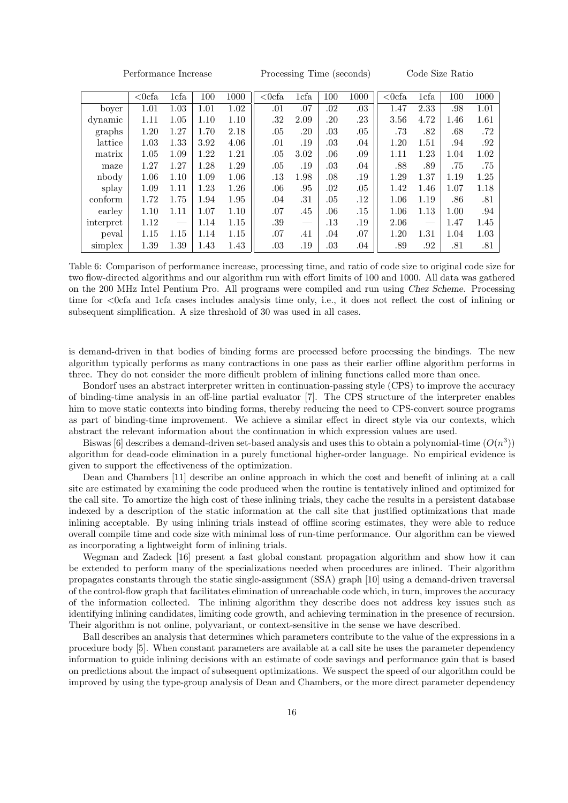Performance Increase Processing Time (seconds) Code Size Ratio

|           | $< 0$ cfa | 1cfa | 100  | 1000 | $< 0$ cfa | 1cfa | 100     | 1000    | $< 0$ cfa | 1cfa          | 100  | 1000 |
|-----------|-----------|------|------|------|-----------|------|---------|---------|-----------|---------------|------|------|
| boyer     | 1.01      | 1.03 | 1.01 | 1.02 | .01       | .07  | .02     | .03     | 1.47      | 2.33          | .98  | 1.01 |
| dynamic   | 1.11      | 1.05 | 1.10 | 1.10 | .32       | 2.09 | .20     | .23     | 3.56      | 4.72          | 1.46 | 1.61 |
| graphs    | 1.20      | 1.27 | 1.70 | 2.18 | .05       | .20  | .03     | .05     | .73       | .82           | .68  | .72  |
| lattice   | 1.03      | 1.33 | 3.92 | 4.06 | .01       | .19  | .03     | .04     | 1.20      | 1.51          | .94  | .92  |
| matrix    | 1.05      | 1.09 | 1.22 | 1.21 | .05       | 3.02 | .06     | .09     | 1.11      | 1.23          | 1.04 | 1.02 |
| maze      | 1.27      | 1.27 | 1.28 | 1.29 | .05       | .19  | .03     | .04     | .88       | .89           | .75  | .75  |
| nbody     | 1.06      | 1.10 | 1.09 | 1.06 | .13       | 1.98 | .08     | .19     | 1.29      | 1.37          | 1.19 | 1.25 |
| splay     | 1.09      | 1.11 | 1.23 | 1.26 | $.06\,$   | .95  | .02     | .05     | 1.42      | 1.46          | 1.07 | 1.18 |
| conform   | 1.72      | 1.75 | 1.94 | 1.95 | .04       | .31  | .05     | $.12\,$ | 1.06      | 1.19          | .86  | .81  |
| earley    | 1.10      | 1.11 | 1.07 | 1.10 | .07       | .45  | .06     | .15     | 1.06      | 1.13          | 1.00 | .94  |
| interpret | 1.12      |      | 1.14 | 1.15 | .39       |      | .13     | .19     | 2.06      | $\frac{1}{2}$ | 1.47 | 1.45 |
| peval     | 1.15      | 1.15 | 1.14 | 1.15 | .07       | .41  | .04     | .07     | 1.20      | 1.31          | 1.04 | 1.03 |
| simplex   | 1.39      | 1.39 | 1.43 | 1.43 | .03       | .19  | $.03\,$ | .04     | .89       | .92           | .81  | .81  |

Table 6: Comparison of performance increase, processing time, and ratio of code size to original code size for two flow-directed algorithms and our algorithm run with effort limits of 100 and 1000. All data was gathered on the 200 MHz Intel Pentium Pro. All programs were compiled and run using Chez Scheme. Processing time for  $\langle$ Ocfa and 1cfa cases includes analysis time only, i.e., it does not reflect the cost of inlining or subsequent simplification. A size threshold of 30 was used in all cases.

is demand-driven in that bodies of binding forms are processed before processing the bindings. The new algorithm typically performs as many contractions in one pass as their earlier offline algorithm performs in three. They do not consider the more difficult problem of inlining functions called more than once.

Bondorf uses an abstract interpreter written in continuation-passing style (CPS) to improve the accuracy of binding-time analysis in an off-line partial evaluator [7]. The CPS structure of the interpreter enables him to move static contexts into binding forms, thereby reducing the need to CPS-convert source programs as part of binding-time improvement. We achieve a similar effect in direct style via our contexts, which abstract the relevant information about the continuation in which expression values are used.

Biswas [6] describes a demand-driven set-based analysis and uses this to obtain a polynomial-time  $(O(n^3))$ algorithm for dead-code elimination in a purely functional higher-order language. No empirical evidence is given to support the effectiveness of the optimization.

Dean and Chambers [11] describe an online approach in which the cost and benefit of inlining at a call site are estimated by examining the code produced when the routine is tentatively inlined and optimized for the call site. To amortize the high cost of these inlining trials, they cache the results in a persistent database indexed by a description of the static information at the call site that justified optimizations that made inlining acceptable. By using inlining trials instead of offline scoring estimates, they were able to reduce overall compile time and code size with minimal loss of run-time performance. Our algorithm can be viewed as incorporating a lightweight form of inlining trials.

Wegman and Zadeck [16] present a fast global constant propagation algorithm and show how it can be extended to perform many of the specializations needed when procedures are inlined. Their algorithm propagates constants through the static single-assignment (SSA) graph [10] using a demand-driven traversal of the control-flow graph that facilitates elimination of unreachable code which, in turn, improves the accuracy of the information collected. The inlining algorithm they describe does not address key issues such as identifying inlining candidates, limiting code growth, and achieving termination in the presence of recursion. Their algorithm is not online, polyvariant, or context-sensitive in the sense we have described.

Ball describes an analysis that determines which parameters contribute to the value of the expressions in a procedure body [5]. When constant parameters are available at a call site he uses the parameter dependency information to guide inlining decisions with an estimate of code savings and performance gain that is based on predictions about the impact of subsequent optimizations. We suspect the speed of our algorithm could be improved by using the type-group analysis of Dean and Chambers, or the more direct parameter dependency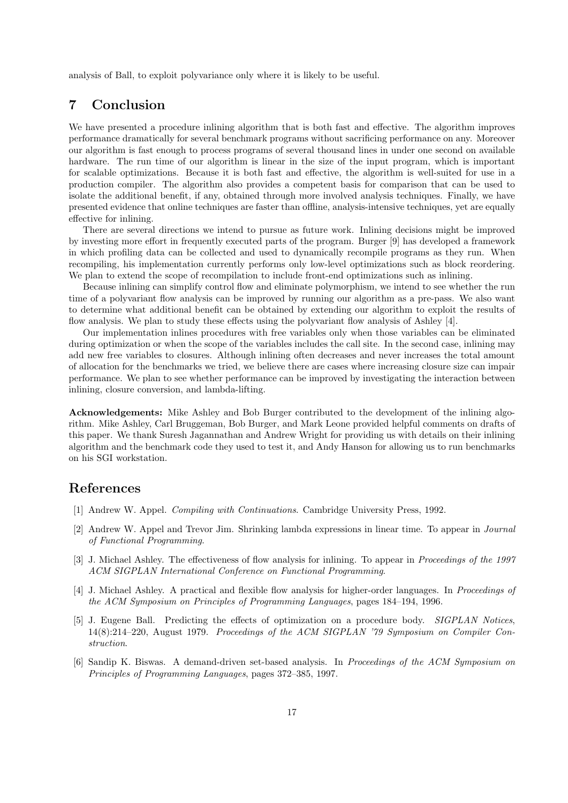analysis of Ball, to exploit polyvariance only where it is likely to be useful.

# 7 Conclusion

We have presented a procedure inlining algorithm that is both fast and effective. The algorithm improves performance dramatically for several benchmark programs without sacrificing performance on any. Moreover our algorithm is fast enough to process programs of several thousand lines in under one second on available hardware. The run time of our algorithm is linear in the size of the input program, which is important for scalable optimizations. Because it is both fast and effective, the algorithm is well-suited for use in a production compiler. The algorithm also provides a competent basis for comparison that can be used to isolate the additional benefit, if any, obtained through more involved analysis techniques. Finally, we have presented evidence that online techniques are faster than offline, analysis-intensive techniques, yet are equally effective for inlining.

There are several directions we intend to pursue as future work. Inlining decisions might be improved by investing more effort in frequently executed parts of the program. Burger [9] has developed a framework in which profiling data can be collected and used to dynamically recompile programs as they run. When recompiling, his implementation currently performs only low-level optimizations such as block reordering. We plan to extend the scope of recompilation to include front-end optimizations such as inlining.

Because inlining can simplify control flow and eliminate polymorphism, we intend to see whether the run time of a polyvariant flow analysis can be improved by running our algorithm as a pre-pass. We also want to determine what additional benefit can be obtained by extending our algorithm to exploit the results of flow analysis. We plan to study these effects using the polyvariant flow analysis of Ashley [4].

Our implementation inlines procedures with free variables only when those variables can be eliminated during optimization or when the scope of the variables includes the call site. In the second case, inlining may add new free variables to closures. Although inlining often decreases and never increases the total amount of allocation for the benchmarks we tried, we believe there are cases where increasing closure size can impair performance. We plan to see whether performance can be improved by investigating the interaction between inlining, closure conversion, and lambda-lifting.

Acknowledgements: Mike Ashley and Bob Burger contributed to the development of the inlining algorithm. Mike Ashley, Carl Bruggeman, Bob Burger, and Mark Leone provided helpful comments on drafts of this paper. We thank Suresh Jagannathan and Andrew Wright for providing us with details on their inlining algorithm and the benchmark code they used to test it, and Andy Hanson for allowing us to run benchmarks on his SGI workstation.

# References

- [1] Andrew W. Appel. Compiling with Continuations. Cambridge University Press, 1992.
- [2] Andrew W. Appel and Trevor Jim. Shrinking lambda expressions in linear time. To appear in Journal of Functional Programming.
- [3] J. Michael Ashley. The effectiveness of flow analysis for inlining. To appear in Proceedings of the 1997 ACM SIGPLAN International Conference on Functional Programming.
- [4] J. Michael Ashley. A practical and flexible flow analysis for higher-order languages. In Proceedings of the ACM Symposium on Principles of Programming Languages, pages 184–194, 1996.
- [5] J. Eugene Ball. Predicting the effects of optimization on a procedure body. SIGPLAN Notices, 14(8):214–220, August 1979. Proceedings of the ACM SIGPLAN '79 Symposium on Compiler Construction.
- [6] Sandip K. Biswas. A demand-driven set-based analysis. In Proceedings of the ACM Symposium on Principles of Programming Languages, pages 372–385, 1997.